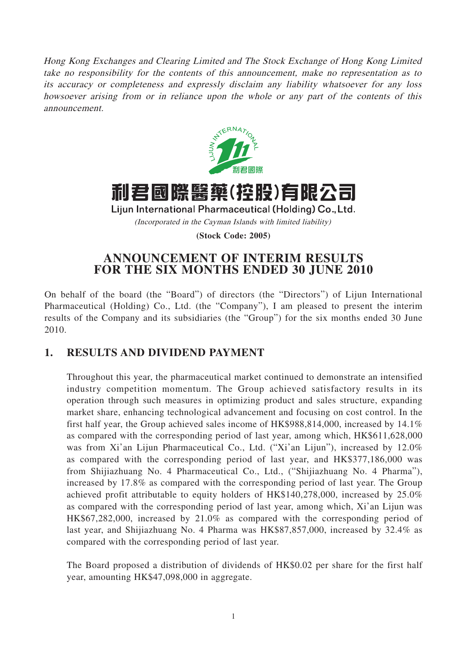Hong Kong Exchanges and Clearing Limited and The Stock Exchange of Hong Kong Limited take no responsibility for the contents of this announcement, make no representation as to its accuracy or completeness and expressly disclaim any liability whatsoever for any loss howsoever arising from or in reliance upon the whole or any part of the contents of this announcement.



# 利君國際醫藥(控股)有限公司

Lijun International Pharmaceutical (Holding) Co., Ltd. (Incorporated in the Cayman Islands with limited liability)

**(Stock Code: 2005)**

# **ANNOUNCEMENT OF INTERIM RESULTS FOR THE SIX MONTHS ENDED 30 JUNE 2010**

On behalf of the board (the "Board") of directors (the "Directors") of Lijun International Pharmaceutical (Holding) Co., Ltd. (the "Company"), I am pleased to present the interim results of the Company and its subsidiaries (the "Group") for the six months ended 30 June 2010.

# **1. RESULTS AND DIVIDEND PAYMENT**

Throughout this year, the pharmaceutical market continued to demonstrate an intensified industry competition momentum. The Group achieved satisfactory results in its operation through such measures in optimizing product and sales structure, expanding market share, enhancing technological advancement and focusing on cost control. In the first half year, the Group achieved sales income of HK\$988,814,000, increased by 14.1% as compared with the corresponding period of last year, among which, HK\$611,628,000 was from Xi'an Lijun Pharmaceutical Co., Ltd. ("Xi'an Lijun"), increased by 12.0% as compared with the corresponding period of last year, and HK\$377,186,000 was from Shijiazhuang No. 4 Pharmaceutical Co., Ltd., ("Shijiazhuang No. 4 Pharma"), increased by 17.8% as compared with the corresponding period of last year. The Group achieved profit attributable to equity holders of HK\$140,278,000, increased by 25.0% as compared with the corresponding period of last year, among which, Xi'an Lijun was HK\$67,282,000, increased by 21.0% as compared with the corresponding period of last year, and Shijiazhuang No. 4 Pharma was HK\$87,857,000, increased by 32.4% as compared with the corresponding period of last year.

The Board proposed a distribution of dividends of HK\$0.02 per share for the first half year, amounting HK\$47,098,000 in aggregate.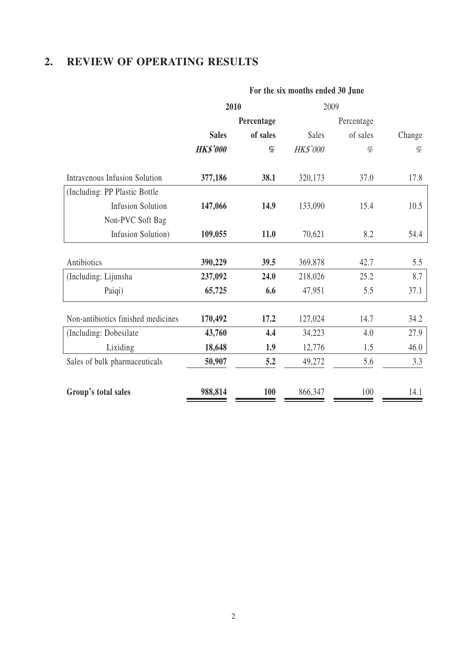# **2. REVIEW OF OPERATING RESULTS**

|                                      | <b>PUT THE SIX INDITIES CHUCU JU JUNE</b> |            |              |            |        |  |  |  |
|--------------------------------------|-------------------------------------------|------------|--------------|------------|--------|--|--|--|
|                                      | 2010                                      |            | 2009         |            |        |  |  |  |
|                                      |                                           | Percentage |              | Percentage |        |  |  |  |
|                                      | of sales<br><b>Sales</b>                  |            | <b>Sales</b> | of sales   | Change |  |  |  |
|                                      | <b>HK\$'000</b>                           | %          | HK\$'000     | %          | $\%$   |  |  |  |
| <b>Intravenous Infusion Solution</b> | 377,186                                   | 38.1       | 320,173      | 37.0       | 17.8   |  |  |  |
| (Including: PP Plastic Bottle        |                                           |            |              |            |        |  |  |  |
| <b>Infusion Solution</b>             | 147,066                                   | 14.9       | 133,090      | 15.4       | 10.5   |  |  |  |
| Non-PVC Soft Bag                     |                                           |            |              |            |        |  |  |  |
| Infusion Solution)                   | 109,055                                   | 11.0       | 70,621       | 8.2        | 54.4   |  |  |  |
| Antibiotics                          | 390,229                                   | 39.5       | 369,878      | 42.7       | 5.5    |  |  |  |
| (Including: Lijunsha                 | 237,092                                   | 24.0       | 218,026      | 25.2       | 8.7    |  |  |  |
| Paiqi)                               | 65,725                                    | 6.6        | 47,951       | 5.5        | 37.1   |  |  |  |
| Non-antibiotics finished medicines   | 170,492                                   | 17.2       | 127,024      | 14.7       | 34.2   |  |  |  |
| (Including: Dobesilate               | 43,760                                    | 4.4        | 34,223       | 4.0        | 27.9   |  |  |  |
| Lixiding                             | 18,648                                    | 1.9        | 12,776       | 1.5        | 46.0   |  |  |  |
| Sales of bulk pharmaceuticals        | 50,907                                    | 5.2        | 49,272       | 5.6        | 3.3    |  |  |  |
| Group's total sales                  | 988,814                                   | 100        | 866,347      | 100        | 14.1   |  |  |  |

### **For the six months ended 30 June**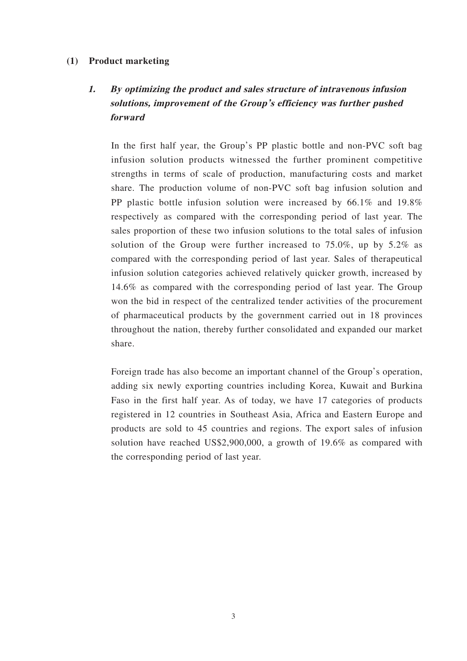### **(1) Product marketing**

# **1. By optimizing the product and sales structure of intravenous infusion solutions, improvement of the Group's efficiency was further pushed forward**

In the first half year, the Group's PP plastic bottle and non-PVC soft bag infusion solution products witnessed the further prominent competitive strengths in terms of scale of production, manufacturing costs and market share. The production volume of non-PVC soft bag infusion solution and PP plastic bottle infusion solution were increased by 66.1% and 19.8% respectively as compared with the corresponding period of last year. The sales proportion of these two infusion solutions to the total sales of infusion solution of the Group were further increased to 75.0%, up by 5.2% as compared with the corresponding period of last year. Sales of therapeutical infusion solution categories achieved relatively quicker growth, increased by 14.6% as compared with the corresponding period of last year. The Group won the bid in respect of the centralized tender activities of the procurement of pharmaceutical products by the government carried out in 18 provinces throughout the nation, thereby further consolidated and expanded our market share.

Foreign trade has also become an important channel of the Group's operation, adding six newly exporting countries including Korea, Kuwait and Burkina Faso in the first half year. As of today, we have 17 categories of products registered in 12 countries in Southeast Asia, Africa and Eastern Europe and products are sold to 45 countries and regions. The export sales of infusion solution have reached US\$2,900,000, a growth of 19.6% as compared with the corresponding period of last year.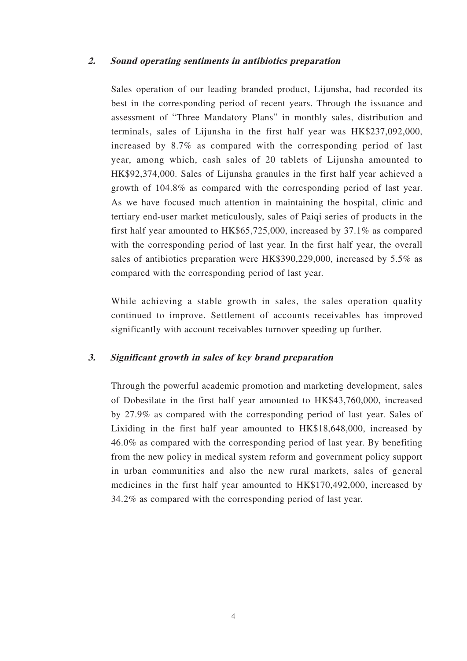### **2. Sound operating sentiments in antibiotics preparation**

Sales operation of our leading branded product, Lijunsha, had recorded its best in the corresponding period of recent years. Through the issuance and assessment of "Three Mandatory Plans" in monthly sales, distribution and terminals, sales of Lijunsha in the first half year was HK\$237,092,000, increased by 8.7% as compared with the corresponding period of last year, among which, cash sales of 20 tablets of Lijunsha amounted to HK\$92,374,000. Sales of Lijunsha granules in the first half year achieved a growth of 104.8% as compared with the corresponding period of last year. As we have focused much attention in maintaining the hospital, clinic and tertiary end-user market meticulously, sales of Paiqi series of products in the first half year amounted to HK\$65,725,000, increased by 37.1% as compared with the corresponding period of last year. In the first half year, the overall sales of antibiotics preparation were HK\$390,229,000, increased by 5.5% as compared with the corresponding period of last year.

While achieving a stable growth in sales, the sales operation quality continued to improve. Settlement of accounts receivables has improved significantly with account receivables turnover speeding up further.

### **3. Significant growth in sales of key brand preparation**

Through the powerful academic promotion and marketing development, sales of Dobesilate in the first half year amounted to HK\$43,760,000, increased by 27.9% as compared with the corresponding period of last year. Sales of Lixiding in the first half year amounted to HK\$18,648,000, increased by 46.0% as compared with the corresponding period of last year. By benefiting from the new policy in medical system reform and government policy support in urban communities and also the new rural markets, sales of general medicines in the first half year amounted to HK\$170,492,000, increased by 34.2% as compared with the corresponding period of last year.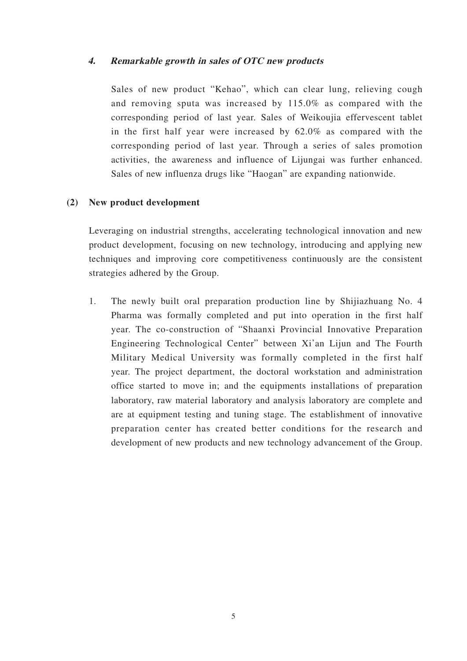### **4. Remarkable growth in sales of OTC new products**

Sales of new product "Kehao", which can clear lung, relieving cough and removing sputa was increased by 115.0% as compared with the corresponding period of last year. Sales of Weikoujia effervescent tablet in the first half year were increased by 62.0% as compared with the corresponding period of last year. Through a series of sales promotion activities, the awareness and influence of Lijungai was further enhanced. Sales of new influenza drugs like "Haogan" are expanding nationwide.

### **(2) New product development**

Leveraging on industrial strengths, accelerating technological innovation and new product development, focusing on new technology, introducing and applying new techniques and improving core competitiveness continuously are the consistent strategies adhered by the Group.

1. The newly built oral preparation production line by Shijiazhuang No. 4 Pharma was formally completed and put into operation in the first half year. The co-construction of "Shaanxi Provincial Innovative Preparation Engineering Technological Center" between Xi'an Lijun and The Fourth Military Medical University was formally completed in the first half year. The project department, the doctoral workstation and administration office started to move in; and the equipments installations of preparation laboratory, raw material laboratory and analysis laboratory are complete and are at equipment testing and tuning stage. The establishment of innovative preparation center has created better conditions for the research and development of new products and new technology advancement of the Group.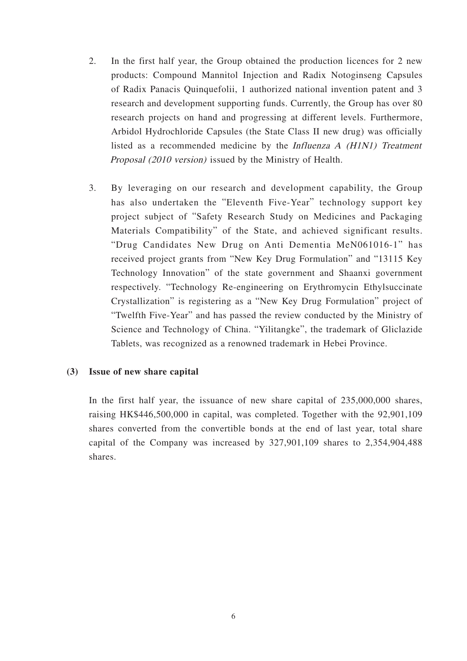- 2. In the first half year, the Group obtained the production licences for 2 new products: Compound Mannitol Injection and Radix Notoginseng Capsules of Radix Panacis Quinquefolii, 1 authorized national invention patent and 3 research and development supporting funds. Currently, the Group has over 80 research projects on hand and progressing at different levels. Furthermore, Arbidol Hydrochloride Capsules (the State Class II new drug) was officially listed as a recommended medicine by the Influenza A (H1N1) Treatment Proposal (2010 version) issued by the Ministry of Health.
- 3. By leveraging on our research and development capability, the Group has also undertaken the "Eleventh Five-Year" technology support key project subject of "Safety Research Study on Medicines and Packaging Materials Compatibility" of the State, and achieved significant results. "Drug Candidates New Drug on Anti Dementia MeN061016-1" has received project grants from "New Key Drug Formulation" and "13115 Key Technology Innovation" of the state government and Shaanxi government respectively. "Technology Re-engineering on Erythromycin Ethylsuccinate Crystallization" is registering as a "New Key Drug Formulation" project of "Twelfth Five-Year" and has passed the review conducted by the Ministry of Science and Technology of China. "Yilitangke", the trademark of Gliclazide Tablets, was recognized as a renowned trademark in Hebei Province.

### **(3) Issue of new share capital**

In the first half year, the issuance of new share capital of 235,000,000 shares, raising HK\$446,500,000 in capital, was completed. Together with the 92,901,109 shares converted from the convertible bonds at the end of last year, total share capital of the Company was increased by 327,901,109 shares to 2,354,904,488 shares.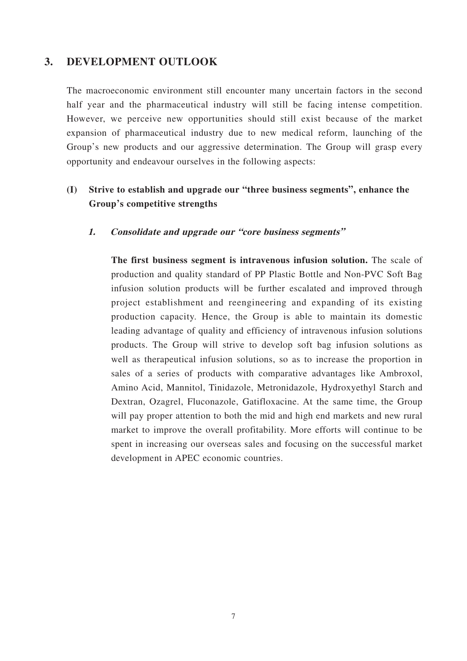### **3. DEVELOPMENT OUTLOOK**

The macroeconomic environment still encounter many uncertain factors in the second half year and the pharmaceutical industry will still be facing intense competition. However, we perceive new opportunities should still exist because of the market expansion of pharmaceutical industry due to new medical reform, launching of the Group's new products and our aggressive determination. The Group will grasp every opportunity and endeavour ourselves in the following aspects:

# **(I) Strive to establish and upgrade our "three business segments", enhance the Group's competitive strengths**

### **1. Consolidate and upgrade our "core business segments"**

**The first business segment is intravenous infusion solution.** The scale of production and quality standard of PP Plastic Bottle and Non-PVC Soft Bag infusion solution products will be further escalated and improved through project establishment and reengineering and expanding of its existing production capacity. Hence, the Group is able to maintain its domestic leading advantage of quality and efficiency of intravenous infusion solutions products. The Group will strive to develop soft bag infusion solutions as well as therapeutical infusion solutions, so as to increase the proportion in sales of a series of products with comparative advantages like Ambroxol, Amino Acid, Mannitol, Tinidazole, Metronidazole, Hydroxyethyl Starch and Dextran, Ozagrel, Fluconazole, Gatifloxacine. At the same time, the Group will pay proper attention to both the mid and high end markets and new rural market to improve the overall profitability. More efforts will continue to be spent in increasing our overseas sales and focusing on the successful market development in APEC economic countries.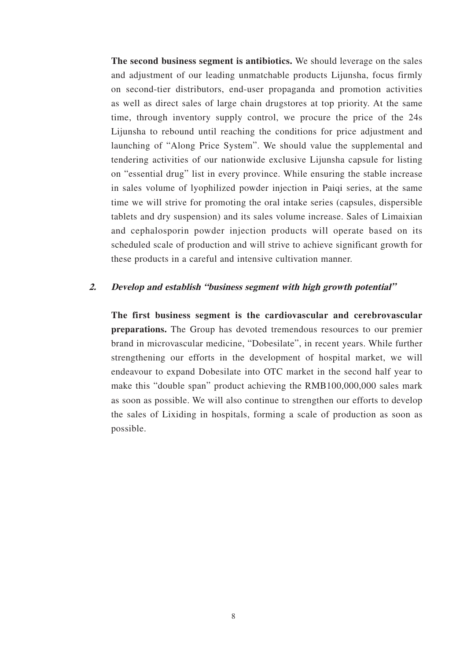**The second business segment is antibiotics.** We should leverage on the sales and adjustment of our leading unmatchable products Lijunsha, focus firmly on second-tier distributors, end-user propaganda and promotion activities as well as direct sales of large chain drugstores at top priority. At the same time, through inventory supply control, we procure the price of the 24s Lijunsha to rebound until reaching the conditions for price adjustment and launching of "Along Price System". We should value the supplemental and tendering activities of our nationwide exclusive Lijunsha capsule for listing on "essential drug" list in every province. While ensuring the stable increase in sales volume of lyophilized powder injection in Paiqi series, at the same time we will strive for promoting the oral intake series (capsules, dispersible tablets and dry suspension) and its sales volume increase. Sales of Limaixian and cephalosporin powder injection products will operate based on its scheduled scale of production and will strive to achieve significant growth for these products in a careful and intensive cultivation manner.

#### **2. Develop and establish "business segment with high growth potential"**

**The first business segment is the cardiovascular and cerebrovascular preparations.** The Group has devoted tremendous resources to our premier brand in microvascular medicine, "Dobesilate", in recent years. While further strengthening our efforts in the development of hospital market, we will endeavour to expand Dobesilate into OTC market in the second half year to make this "double span" product achieving the RMB100,000,000 sales mark as soon as possible. We will also continue to strengthen our efforts to develop the sales of Lixiding in hospitals, forming a scale of production as soon as possible.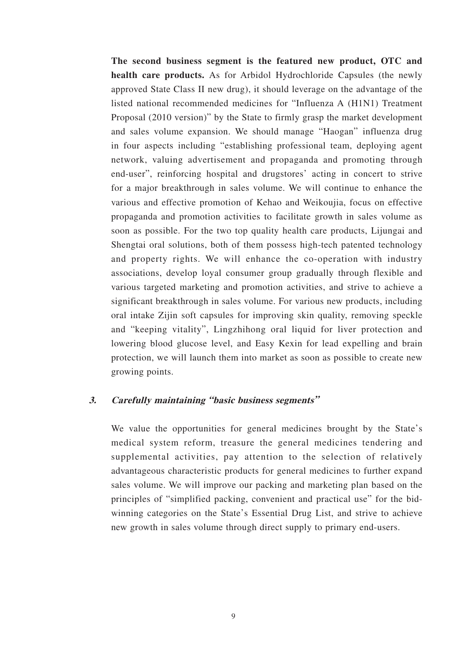**The second business segment is the featured new product, OTC and health care products.** As for Arbidol Hydrochloride Capsules (the newly approved State Class II new drug), it should leverage on the advantage of the listed national recommended medicines for "Influenza A (H1N1) Treatment Proposal (2010 version)" by the State to firmly grasp the market development and sales volume expansion. We should manage "Haogan" influenza drug in four aspects including "establishing professional team, deploying agent network, valuing advertisement and propaganda and promoting through end-user", reinforcing hospital and drugstores' acting in concert to strive for a major breakthrough in sales volume. We will continue to enhance the various and effective promotion of Kehao and Weikoujia, focus on effective propaganda and promotion activities to facilitate growth in sales volume as soon as possible. For the two top quality health care products, Lijungai and Shengtai oral solutions, both of them possess high-tech patented technology and property rights. We will enhance the co-operation with industry associations, develop loyal consumer group gradually through flexible and various targeted marketing and promotion activities, and strive to achieve a significant breakthrough in sales volume. For various new products, including oral intake Zijin soft capsules for improving skin quality, removing speckle and "keeping vitality", Lingzhihong oral liquid for liver protection and lowering blood glucose level, and Easy Kexin for lead expelling and brain protection, we will launch them into market as soon as possible to create new growing points.

### **3. Carefully maintaining "basic business segments"**

We value the opportunities for general medicines brought by the State's medical system reform, treasure the general medicines tendering and supplemental activities, pay attention to the selection of relatively advantageous characteristic products for general medicines to further expand sales volume. We will improve our packing and marketing plan based on the principles of "simplified packing, convenient and practical use" for the bidwinning categories on the State's Essential Drug List, and strive to achieve new growth in sales volume through direct supply to primary end-users.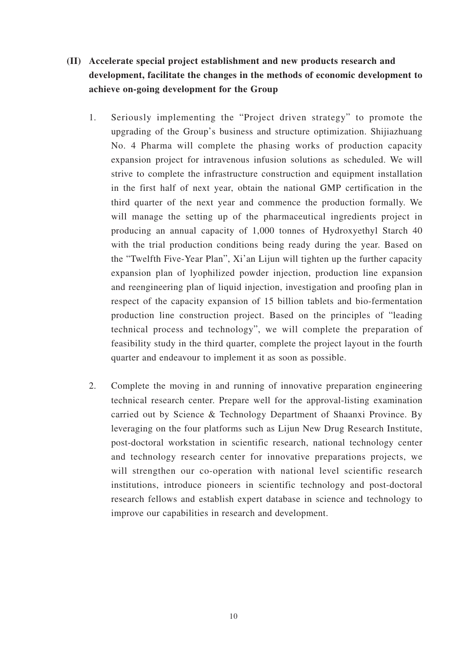- **(II) Accelerate special project establishment and new products research and development, facilitate the changes in the methods of economic development to achieve on-going development for the Group** 
	- 1. Seriously implementing the "Project driven strategy" to promote the upgrading of the Group's business and structure optimization. Shijiazhuang No. 4 Pharma will complete the phasing works of production capacity expansion project for intravenous infusion solutions as scheduled. We will strive to complete the infrastructure construction and equipment installation in the first half of next year, obtain the national GMP certification in the third quarter of the next year and commence the production formally. We will manage the setting up of the pharmaceutical ingredients project in producing an annual capacity of 1,000 tonnes of Hydroxyethyl Starch 40 with the trial production conditions being ready during the year. Based on the "Twelfth Five-Year Plan", Xi'an Lijun will tighten up the further capacity expansion plan of lyophilized powder injection, production line expansion and reengineering plan of liquid injection, investigation and proofing plan in respect of the capacity expansion of 15 billion tablets and bio-fermentation production line construction project. Based on the principles of "leading technical process and technology", we will complete the preparation of feasibility study in the third quarter, complete the project layout in the fourth quarter and endeavour to implement it as soon as possible.
	- 2. Complete the moving in and running of innovative preparation engineering technical research center. Prepare well for the approval-listing examination carried out by Science & Technology Department of Shaanxi Province. By leveraging on the four platforms such as Lijun New Drug Research Institute, post-doctoral workstation in scientific research, national technology center and technology research center for innovative preparations projects, we will strengthen our co-operation with national level scientific research institutions, introduce pioneers in scientific technology and post-doctoral research fellows and establish expert database in science and technology to improve our capabilities in research and development.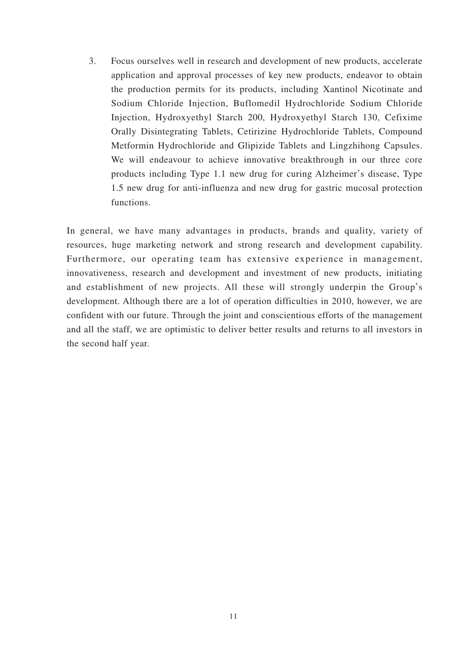3. Focus ourselves well in research and development of new products, accelerate application and approval processes of key new products, endeavor to obtain the production permits for its products, including Xantinol Nicotinate and Sodium Chloride Injection, Buflomedil Hydrochloride Sodium Chloride Injection, Hydroxyethyl Starch 200, Hydroxyethyl Starch 130, Cefixime Orally Disintegrating Tablets, Cetirizine Hydrochloride Tablets, Compound Metformin Hydrochloride and Glipizide Tablets and Lingzhihong Capsules. We will endeavour to achieve innovative breakthrough in our three core products including Type 1.1 new drug for curing Alzheimer's disease, Type 1.5 new drug for anti-influenza and new drug for gastric mucosal protection functions.

In general, we have many advantages in products, brands and quality, variety of resources, huge marketing network and strong research and development capability. Furthermore, our operating team has extensive experience in management, innovativeness, research and development and investment of new products, initiating and establishment of new projects. All these will strongly underpin the Group's development. Although there are a lot of operation difficulties in 2010, however, we are confident with our future. Through the joint and conscientious efforts of the management and all the staff, we are optimistic to deliver better results and returns to all investors in the second half year.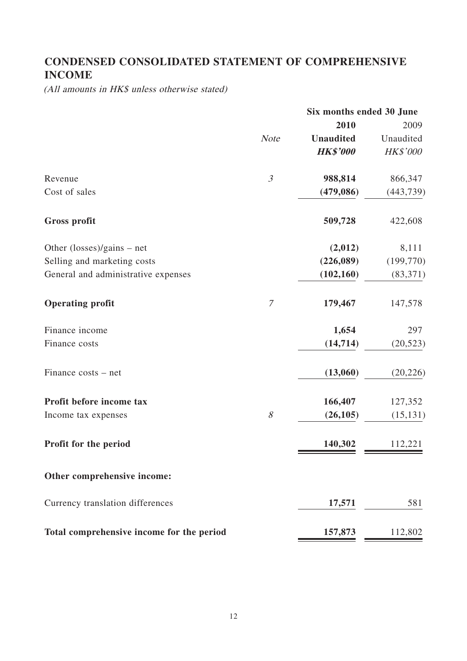# **CONDENSED CONSOLIDATED STATEMENT OF COMPREHENSIVE INCOME**

(All amounts in HK\$ unless otherwise stated)

|                                           |                  | Six months ended 30 June |            |  |  |
|-------------------------------------------|------------------|--------------------------|------------|--|--|
|                                           |                  | 2010                     | 2009       |  |  |
|                                           | <b>Note</b>      | <b>Unaudited</b>         | Unaudited  |  |  |
|                                           |                  | <b>HK\$'000</b>          | HK\$'000   |  |  |
| Revenue                                   | $\mathfrak{Z}$   | 988,814                  | 866,347    |  |  |
| Cost of sales                             |                  | (479,086)                | (443, 739) |  |  |
| <b>Gross profit</b>                       |                  | 509,728                  | 422,608    |  |  |
| Other (losses)/gains – net                |                  | (2,012)                  | 8,111      |  |  |
| Selling and marketing costs               |                  | (226,089)                | (199, 770) |  |  |
| General and administrative expenses       |                  | (102, 160)               | (83, 371)  |  |  |
| <b>Operating profit</b>                   | $\boldsymbol{7}$ | 179,467                  | 147,578    |  |  |
| Finance income                            |                  | 1,654                    | 297        |  |  |
| Finance costs                             |                  | (14, 714)                | (20, 523)  |  |  |
| Finance costs – net                       |                  | (13,060)                 | (20, 226)  |  |  |
| Profit before income tax                  |                  | 166,407                  | 127,352    |  |  |
| Income tax expenses                       | $\mathcal S$     | (26, 105)                | (15, 131)  |  |  |
| Profit for the period                     |                  | 140,302                  | 112,221    |  |  |
| Other comprehensive income:               |                  |                          |            |  |  |
| Currency translation differences          |                  | 17,571                   | 581        |  |  |
| Total comprehensive income for the period |                  | 157,873                  | 112,802    |  |  |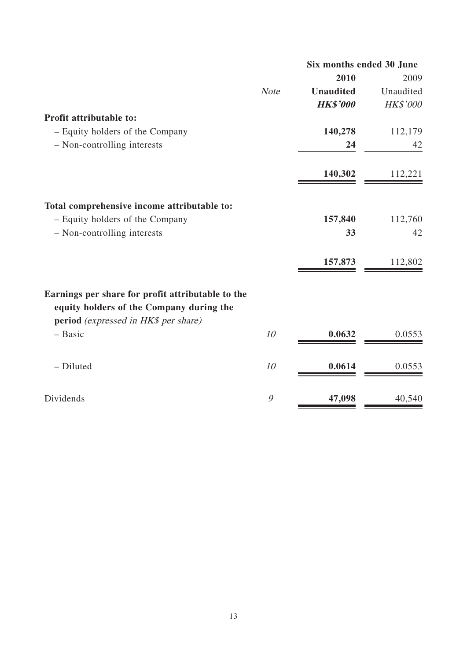|                                                                                                                                       |             | Six months ended 30 June |           |  |
|---------------------------------------------------------------------------------------------------------------------------------------|-------------|--------------------------|-----------|--|
|                                                                                                                                       |             | 2010                     | 2009      |  |
|                                                                                                                                       | <b>Note</b> | <b>Unaudited</b>         | Unaudited |  |
|                                                                                                                                       |             | <b>HK\$'000</b>          | HK\$'000  |  |
| Profit attributable to:                                                                                                               |             |                          |           |  |
| - Equity holders of the Company                                                                                                       |             | 140,278                  | 112,179   |  |
| - Non-controlling interests                                                                                                           |             | 24                       | 42        |  |
|                                                                                                                                       |             | 140,302                  | 112,221   |  |
| Total comprehensive income attributable to:                                                                                           |             |                          |           |  |
| - Equity holders of the Company                                                                                                       |             | 157,840                  | 112,760   |  |
| - Non-controlling interests                                                                                                           |             | 33                       | 42        |  |
|                                                                                                                                       |             | 157,873                  | 112,802   |  |
| Earnings per share for profit attributable to the<br>equity holders of the Company during the<br>period (expressed in HK\$ per share) |             |                          |           |  |
| $-$ Basic                                                                                                                             | 10          | 0.0632                   | 0.0553    |  |
|                                                                                                                                       |             |                          |           |  |
| - Diluted                                                                                                                             | 10          | 0.0614                   | 0.0553    |  |
| Dividends                                                                                                                             | 9           | 47,098                   | 40,540    |  |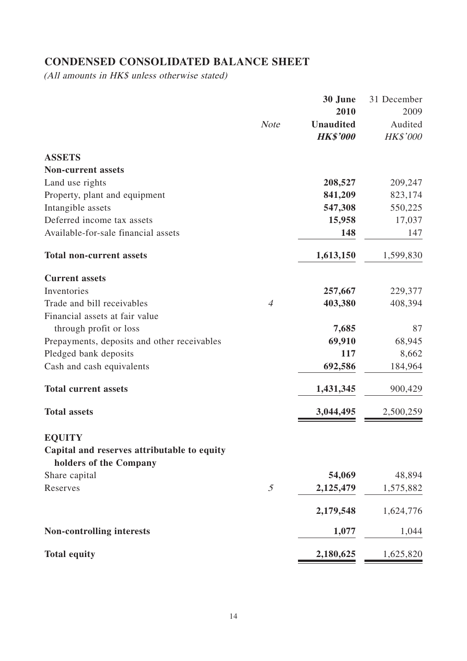# **CONDENSED CONSOLIDATED BALANCE SHEET**

(All amounts in HK\$ unless otherwise stated)

|                                                                       |                | 30 June          | 31 December     |
|-----------------------------------------------------------------------|----------------|------------------|-----------------|
|                                                                       |                | 2010             | 2009            |
|                                                                       | <b>Note</b>    | <b>Unaudited</b> | Audited         |
|                                                                       |                | <b>HK\$'000</b>  | <b>HK\$'000</b> |
| <b>ASSETS</b>                                                         |                |                  |                 |
| <b>Non-current assets</b>                                             |                |                  |                 |
| Land use rights                                                       |                | 208,527          | 209,247         |
| Property, plant and equipment                                         |                | 841,209          | 823,174         |
| Intangible assets                                                     |                | 547,308          | 550,225         |
| Deferred income tax assets                                            |                | 15,958           | 17,037          |
| Available-for-sale financial assets                                   |                | 148              | 147             |
| <b>Total non-current assets</b>                                       |                | 1,613,150        | 1,599,830       |
| <b>Current assets</b>                                                 |                |                  |                 |
| Inventories                                                           |                | 257,667          | 229,377         |
| Trade and bill receivables                                            | $\overline{4}$ | 403,380          | 408,394         |
| Financial assets at fair value                                        |                |                  |                 |
| through profit or loss                                                |                | 7,685            | 87              |
| Prepayments, deposits and other receivables                           |                | 69,910           | 68,945          |
| Pledged bank deposits                                                 |                | 117              | 8,662           |
| Cash and cash equivalents                                             |                | 692,586          | 184,964         |
| <b>Total current assets</b>                                           |                | 1,431,345        | 900,429         |
| <b>Total assets</b>                                                   |                | 3,044,495        | 2,500,259       |
| <b>EQUITY</b>                                                         |                |                  |                 |
| Capital and reserves attributable to equity<br>holders of the Company |                |                  |                 |
| Share capital                                                         |                | 54,069           | 48,894          |
| Reserves                                                              | $\mathfrak{I}$ | 2,125,479        | 1,575,882       |
|                                                                       |                |                  |                 |
|                                                                       |                | 2,179,548        | 1,624,776       |
| <b>Non-controlling interests</b>                                      |                | 1,077            | 1,044           |
| <b>Total equity</b>                                                   |                | 2,180,625        | 1,625,820       |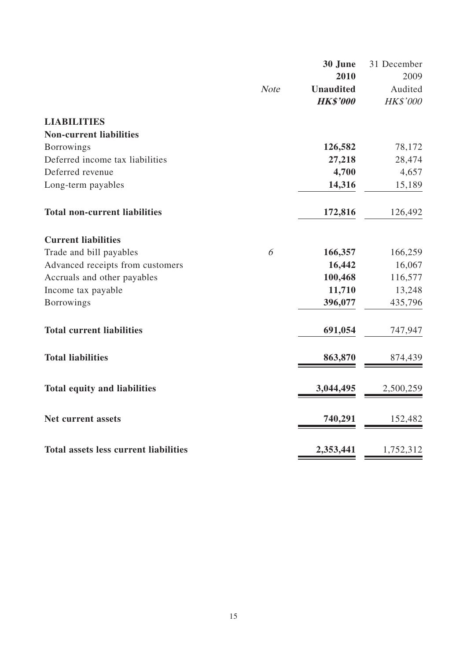|                                              |             | 30 June          | 31 December |
|----------------------------------------------|-------------|------------------|-------------|
|                                              |             | 2010             | 2009        |
|                                              | <b>Note</b> | <b>Unaudited</b> | Audited     |
|                                              |             | <b>HK\$'000</b>  | HK\$'000    |
| <b>LIABILITIES</b>                           |             |                  |             |
| <b>Non-current liabilities</b>               |             |                  |             |
| <b>Borrowings</b>                            |             | 126,582          | 78,172      |
| Deferred income tax liabilities              |             | 27,218           | 28,474      |
| Deferred revenue                             |             | 4,700            | 4,657       |
| Long-term payables                           |             | 14,316           | 15,189      |
| <b>Total non-current liabilities</b>         |             | 172,816          | 126,492     |
| <b>Current liabilities</b>                   |             |                  |             |
| Trade and bill payables                      | 6           | 166,357          | 166,259     |
| Advanced receipts from customers             |             | 16,442           | 16,067      |
| Accruals and other payables                  |             | 100,468          | 116,577     |
| Income tax payable                           |             | 11,710           | 13,248      |
| <b>Borrowings</b>                            |             | 396,077          | 435,796     |
| <b>Total current liabilities</b>             |             | 691,054          | 747,947     |
| <b>Total liabilities</b>                     |             | 863,870          | 874,439     |
| <b>Total equity and liabilities</b>          |             | 3,044,495        | 2,500,259   |
| <b>Net current assets</b>                    |             | 740,291          | 152,482     |
| <b>Total assets less current liabilities</b> |             | 2,353,441        | 1,752,312   |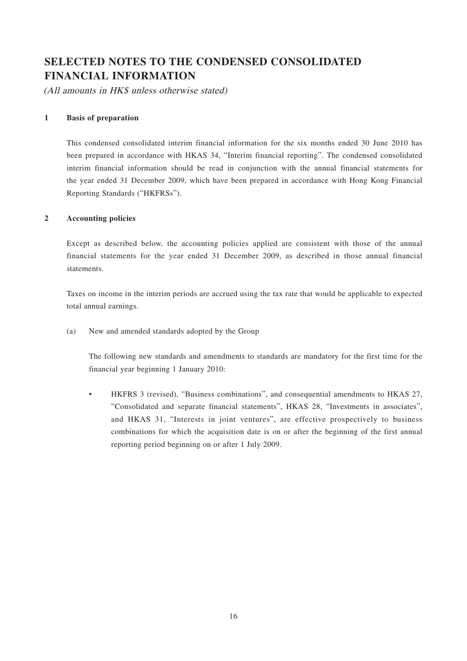# **SELECTED NOTES TO THE CONDENSED CONSOLIDATED FINANCIAL INFORMATION**

(All amounts in HK\$ unless otherwise stated)

#### **1 Basis of preparation**

This condensed consolidated interim financial information for the six months ended 30 June 2010 has been prepared in accordance with HKAS 34, "Interim financial reporting". The condensed consolidated interim financial information should be read in conjunction with the annual financial statements for the year ended 31 December 2009, which have been prepared in accordance with Hong Kong Financial Reporting Standards ("HKFRSs").

#### **2 Accounting policies**

Except as described below, the accounting policies applied are consistent with those of the annual financial statements for the year ended 31 December 2009, as described in those annual financial statements.

Taxes on income in the interim periods are accrued using the tax rate that would be applicable to expected total annual earnings.

(a) New and amended standards adopted by the Group

The following new standards and amendments to standards are mandatory for the first time for the financial year beginning 1 January 2010:

• HKFRS 3 (revised), "Business combinations", and consequential amendments to HKAS 27, "Consolidated and separate financial statements", HKAS 28, "Investments in associates", and HKAS 31, "Interests in joint ventures", are effective prospectively to business combinations for which the acquisition date is on or after the beginning of the first annual reporting period beginning on or after 1 July 2009.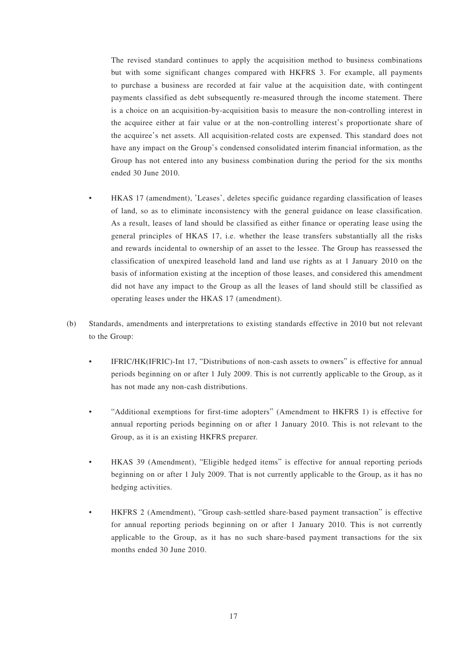The revised standard continues to apply the acquisition method to business combinations but with some significant changes compared with HKFRS 3. For example, all payments to purchase a business are recorded at fair value at the acquisition date, with contingent payments classified as debt subsequently re-measured through the income statement. There is a choice on an acquisition-by-acquisition basis to measure the non-controlling interest in the acquiree either at fair value or at the non-controlling interest's proportionate share of the acquiree's net assets. All acquisition-related costs are expensed. This standard does not have any impact on the Group's condensed consolidated interim financial information, as the Group has not entered into any business combination during the period for the six months ended 30 June 2010.

- HKAS 17 (amendment), 'Leases', deletes specific guidance regarding classification of leases of land, so as to eliminate inconsistency with the general guidance on lease classification. As a result, leases of land should be classified as either finance or operating lease using the general principles of HKAS 17, i.e. whether the lease transfers substantially all the risks and rewards incidental to ownership of an asset to the lessee. The Group has reassessed the classification of unexpired leasehold land and land use rights as at 1 January 2010 on the basis of information existing at the inception of those leases, and considered this amendment did not have any impact to the Group as all the leases of land should still be classified as operating leases under the HKAS 17 (amendment).
- (b) Standards, amendments and interpretations to existing standards effective in 2010 but not relevant to the Group:
	- IFRIC/HK(IFRIC)-Int 17, "Distributions of non-cash assets to owners" is effective for annual periods beginning on or after 1 July 2009. This is not currently applicable to the Group, as it has not made any non-cash distributions.
	- "Additional exemptions for first-time adopters" (Amendment to HKFRS 1) is effective for annual reporting periods beginning on or after 1 January 2010. This is not relevant to the Group, as it is an existing HKFRS preparer.
	- HKAS 39 (Amendment), "Eligible hedged items" is effective for annual reporting periods beginning on or after 1 July 2009. That is not currently applicable to the Group, as it has no hedging activities.
	- HKFRS 2 (Amendment), "Group cash-settled share-based payment transaction" is effective for annual reporting periods beginning on or after 1 January 2010. This is not currently applicable to the Group, as it has no such share-based payment transactions for the six months ended 30 June 2010.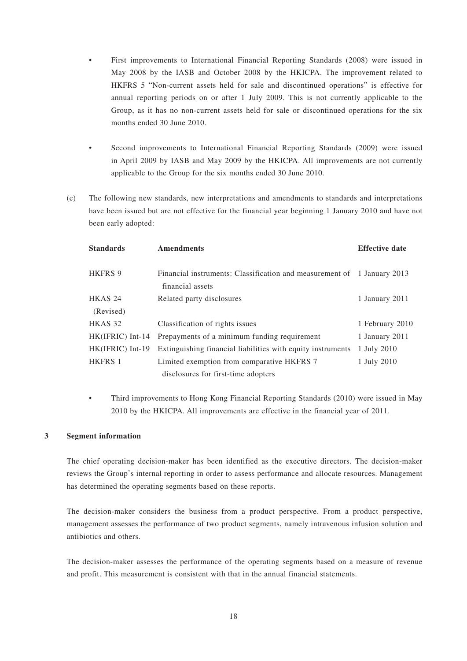- First improvements to International Financial Reporting Standards (2008) were issued in May 2008 by the IASB and October 2008 by the HKICPA. The improvement related to HKFRS 5 "Non-current assets held for sale and discontinued operations" is effective for annual reporting periods on or after 1 July 2009. This is not currently applicable to the Group, as it has no non-current assets held for sale or discontinued operations for the six months ended 30 June 2010.
- Second improvements to International Financial Reporting Standards (2009) were issued in April 2009 by IASB and May 2009 by the HKICPA. All improvements are not currently applicable to the Group for the six months ended 30 June 2010.
- (c) The following new standards, new interpretations and amendments to standards and interpretations have been issued but are not effective for the financial year beginning 1 January 2010 and have not been early adopted:

| <b>Standards</b>   | <b>Amendments</b>                                                                           | <b>Effective date</b> |
|--------------------|---------------------------------------------------------------------------------------------|-----------------------|
| <b>HKFRS 9</b>     | Financial instruments: Classification and measurement of 1 January 2013<br>financial assets |                       |
| HKAS 24            | Related party disclosures                                                                   | 1 January 2011        |
| (Revised)          |                                                                                             |                       |
| HKAS 32            | Classification of rights issues                                                             | 1 February 2010       |
| $HK(IFRIC)$ Int-14 | Prepayments of a minimum funding requirement                                                | 1 January 2011        |
| $HK(IFRIC) Int-19$ | Extinguishing financial liabilities with equity instruments                                 | 1 July 2010           |
| <b>HKFRS 1</b>     | Limited exemption from comparative HKFRS 7                                                  | 1 July 2010           |
|                    | disclosures for first-time adopters                                                         |                       |

• Third improvements to Hong Kong Financial Reporting Standards (2010) were issued in May 2010 by the HKICPA. All improvements are effective in the financial year of 2011.

#### **3 Segment information**

The chief operating decision-maker has been identified as the executive directors. The decision-maker reviews the Group's internal reporting in order to assess performance and allocate resources. Management has determined the operating segments based on these reports.

The decision-maker considers the business from a product perspective. From a product perspective, management assesses the performance of two product segments, namely intravenous infusion solution and antibiotics and others.

The decision-maker assesses the performance of the operating segments based on a measure of revenue and profit. This measurement is consistent with that in the annual financial statements.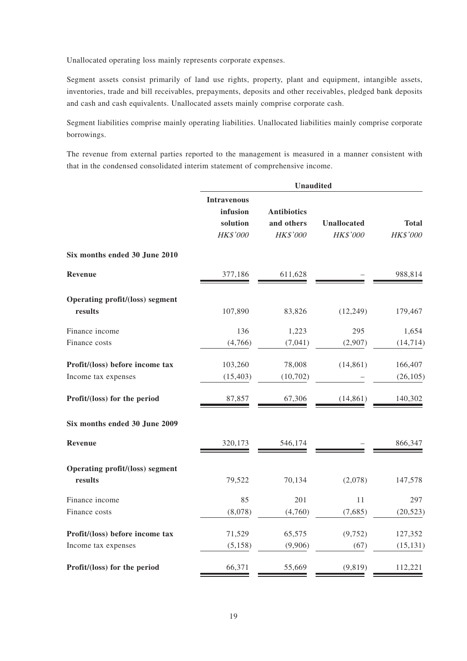Unallocated operating loss mainly represents corporate expenses.

Segment assets consist primarily of land use rights, property, plant and equipment, intangible assets, inventories, trade and bill receivables, prepayments, deposits and other receivables, pledged bank deposits and cash and cash equivalents. Unallocated assets mainly comprise corporate cash.

Segment liabilities comprise mainly operating liabilities. Unallocated liabilities mainly comprise corporate borrowings.

The revenue from external parties reported to the management is measured in a manner consistent with that in the condensed consolidated interim statement of comprehensive income.

|                                                   | <b>Unaudited</b>                                       |                                              |                                |                          |  |  |
|---------------------------------------------------|--------------------------------------------------------|----------------------------------------------|--------------------------------|--------------------------|--|--|
|                                                   | <b>Intravenous</b><br>infusion<br>solution<br>HK\$'000 | <b>Antibiotics</b><br>and others<br>HK\$'000 | <b>Unallocated</b><br>HK\$'000 | <b>Total</b><br>HK\$'000 |  |  |
| Six months ended 30 June 2010                     |                                                        |                                              |                                |                          |  |  |
| Revenue                                           | 377,186                                                | 611,628                                      |                                | 988,814                  |  |  |
| Operating profit/(loss) segment                   |                                                        |                                              |                                |                          |  |  |
| results                                           | 107,890                                                | 83,826                                       | (12, 249)                      | 179,467                  |  |  |
| Finance income                                    | 136                                                    | 1,223                                        | 295                            | 1,654                    |  |  |
| Finance costs                                     | (4,766)                                                | (7,041)                                      | (2,907)                        | (14, 714)                |  |  |
| Profit/(loss) before income tax                   | 103,260                                                | 78,008                                       | (14, 861)                      | 166,407                  |  |  |
| Income tax expenses                               | (15, 403)                                              | (10, 702)                                    |                                | (26, 105)                |  |  |
| Profit/(loss) for the period                      | 87,857                                                 | 67,306                                       | (14, 861)                      | 140,302                  |  |  |
| Six months ended 30 June 2009                     |                                                        |                                              |                                |                          |  |  |
| Revenue                                           | 320,173                                                | 546,174                                      |                                | 866,347                  |  |  |
| <b>Operating profit/(loss) segment</b><br>results | 79,522                                                 | 70,134                                       | (2,078)                        | 147,578                  |  |  |
| Finance income                                    | 85                                                     | 201                                          | 11                             | 297                      |  |  |
| Finance costs                                     | (8,078)                                                | (4,760)                                      | (7,685)                        | (20, 523)                |  |  |
| Profit/(loss) before income tax                   | 71,529                                                 | 65,575                                       | (9, 752)                       | 127,352                  |  |  |
| Income tax expenses                               | (5, 158)                                               | (9,906)                                      | (67)                           | (15, 131)                |  |  |
| Profit/(loss) for the period                      | 66,371                                                 | 55,669                                       | (9, 819)                       | 112,221                  |  |  |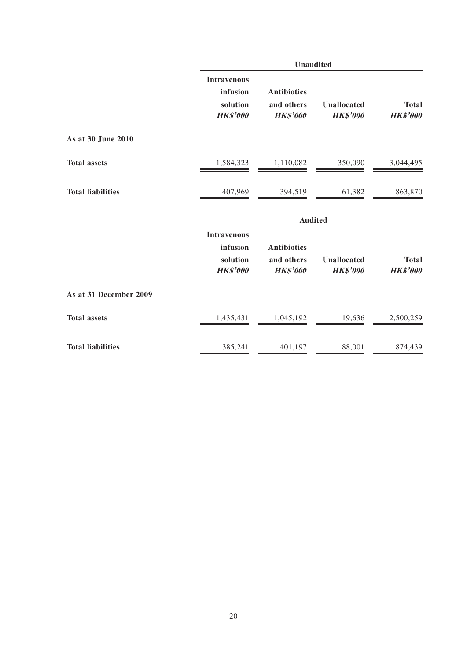|                          | <b>Unaudited</b>                                              |                                                     |                                       |                                 |  |  |
|--------------------------|---------------------------------------------------------------|-----------------------------------------------------|---------------------------------------|---------------------------------|--|--|
|                          | <b>Intravenous</b><br>infusion<br>solution<br><b>HK\$'000</b> | <b>Antibiotics</b><br>and others<br><b>HK\$'000</b> | <b>Unallocated</b><br><b>HK\$'000</b> | <b>Total</b><br><b>HK\$'000</b> |  |  |
| As at 30 June 2010       |                                                               |                                                     |                                       |                                 |  |  |
| <b>Total assets</b>      | 1,584,323                                                     | 1,110,082                                           | 350,090                               | 3,044,495                       |  |  |
| <b>Total liabilities</b> | 407,969                                                       | 394,519                                             | 61,382                                | 863,870                         |  |  |
|                          |                                                               | <b>Audited</b>                                      |                                       |                                 |  |  |
|                          | <b>Intravenous</b>                                            |                                                     |                                       |                                 |  |  |
|                          | infusion<br>solution<br><b>HK\$'000</b>                       | <b>Antibiotics</b><br>and others<br><b>HK\$'000</b> | <b>Unallocated</b><br><b>HK\$'000</b> | <b>Total</b><br><b>HK\$'000</b> |  |  |
| As at 31 December 2009   |                                                               |                                                     |                                       |                                 |  |  |
| <b>Total assets</b>      | 1,435,431                                                     | 1,045,192                                           | 19,636                                | 2,500,259                       |  |  |
| <b>Total liabilities</b> | 385,241                                                       | 401,197                                             | 88,001                                | 874,439                         |  |  |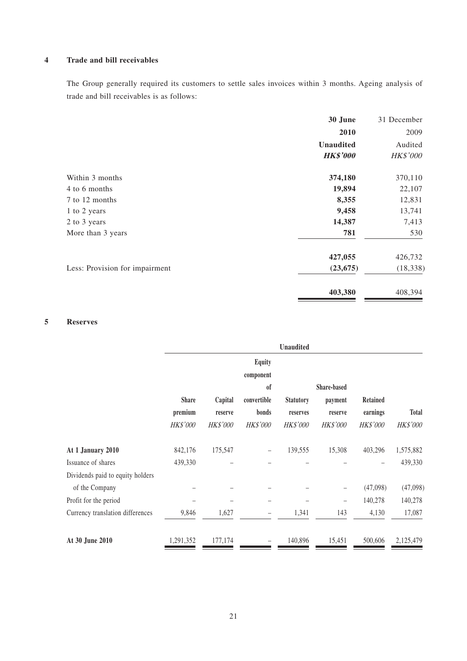### **4 Trade and bill receivables**

The Group generally required its customers to settle sales invoices within 3 months. Ageing analysis of trade and bill receivables is as follows:

|                                | 30 June          |           |
|--------------------------------|------------------|-----------|
|                                | 2010             | 2009      |
|                                | <b>Unaudited</b> | Audited   |
|                                | <b>HK\$'000</b>  | HK\$'000  |
| Within 3 months                | 374,180          | 370,110   |
| 4 to 6 months                  | 19,894           | 22,107    |
| 7 to 12 months                 | 8,355            | 12,831    |
| 1 to 2 years                   | 9,458            | 13,741    |
| 2 to 3 years                   | 14,387           | 7,413     |
| More than 3 years              | 781              | 530       |
|                                | 427,055          | 426,732   |
| Less: Provision for impairment | (23, 675)        | (18, 338) |
|                                | 403,380          | 408,394   |

### **5 Reserves**

|                                  |                         |                    |                            | Unaudited                    |                    |                      |                 |
|----------------------------------|-------------------------|--------------------|----------------------------|------------------------------|--------------------|----------------------|-----------------|
|                                  |                         |                    | <b>Equity</b>              |                              |                    |                      |                 |
|                                  |                         |                    | component<br><sub>of</sub> |                              | <b>Share-based</b> |                      |                 |
|                                  | <b>Share</b><br>premium | Capital<br>reserve | convertible<br>bonds       | <b>Statutory</b><br>reserves | payment<br>reserve | Retained<br>earnings | <b>Total</b>    |
|                                  | HK\$'000                | <b>HK\$'000</b>    | HK\$'000                   | <b>HK\$'000</b>              | HK\$'000           | <b>HK\$'000</b>      | <b>HK\$'000</b> |
| At 1 January 2010                | 842,176                 | 175,547            | $\qquad \qquad -$          | 139,555                      | 15,308             | 403,296              | 1,575,882       |
| Issuance of shares               | 439,330                 |                    |                            |                              |                    |                      | 439,330         |
| Dividends paid to equity holders |                         |                    |                            |                              |                    |                      |                 |
| of the Company                   |                         |                    |                            |                              | -                  | (47,098)             | (47,098)        |
| Profit for the period            |                         |                    |                            |                              | $\qquad \qquad -$  | 140,278              | 140,278         |
| Currency translation differences | 9,846                   | 1,627              | $\qquad \qquad -$          | 1,341                        | 143                | 4,130                | 17,087          |
| At 30 June 2010                  | 1,291,352               | 177,174            |                            | 140,896                      | 15,451             | 500,606              | 2,125,479       |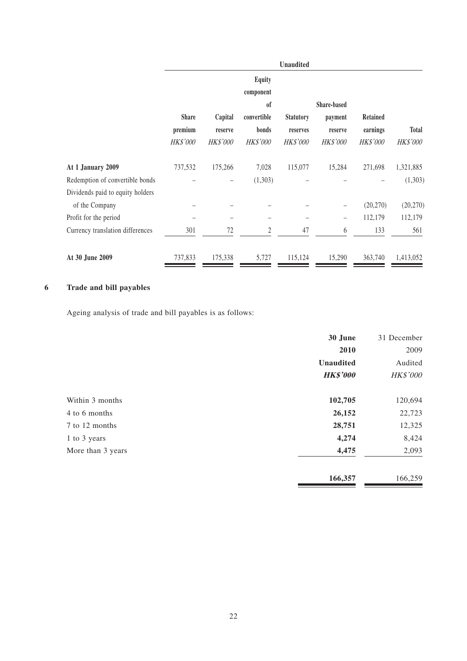|                                  |              |          |                            | <b>Unaudited</b> |                    |                 |              |
|----------------------------------|--------------|----------|----------------------------|------------------|--------------------|-----------------|--------------|
|                                  |              |          | <b>Equity</b><br>component |                  |                    |                 |              |
|                                  |              |          | <sub>of</sub>              |                  | <b>Share-based</b> |                 |              |
|                                  | <b>Share</b> | Capital  | convertible                | <b>Statutory</b> | payment            | <b>Retained</b> |              |
|                                  | premium      | reserve  | bonds                      | reserves         | reserve            | earnings        | <b>Total</b> |
|                                  | HK\$'000     | HK\$'000 | HK\$'000                   | <b>HK\$'000</b>  | HK\$'000           | <b>HK\$'000</b> | HK\$'000     |
| At 1 January 2009                | 737,532      | 175,266  | 7,028                      | 115,077          | 15,284             | 271,698         | 1,321,885    |
| Redemption of convertible bonds  |              |          | (1,303)                    |                  |                    |                 | (1,303)      |
| Dividends paid to equity holders |              |          |                            |                  |                    |                 |              |
| of the Company                   |              |          |                            |                  | -                  | (20,270)        | (20, 270)    |
| Profit for the period            |              |          |                            |                  | -                  | 112,179         | 112,179      |
| Currency translation differences | 301          | 72       | $\overline{2}$             | 47               | 6                  | 133             | 561          |
| At 30 June 2009                  | 737,833      | 175,338  | 5,727                      | 115,124          | 15,290             | 363,740         | 1,413,052    |

### **6 Trade and bill payables**

Ageing analysis of trade and bill payables is as follows:

|                   | 30 June          | 31 December |
|-------------------|------------------|-------------|
|                   | 2010             | 2009        |
|                   | <b>Unaudited</b> | Audited     |
|                   | <b>HK\$'000</b>  | HK\$'000    |
| Within 3 months   | 102,705          | 120,694     |
| 4 to 6 months     | 26,152           | 22,723      |
| 7 to 12 months    | 28,751           | 12,325      |
| 1 to 3 years      | 4,274            | 8,424       |
| More than 3 years | 4,475            | 2,093       |
|                   | 166,357          | 166,259     |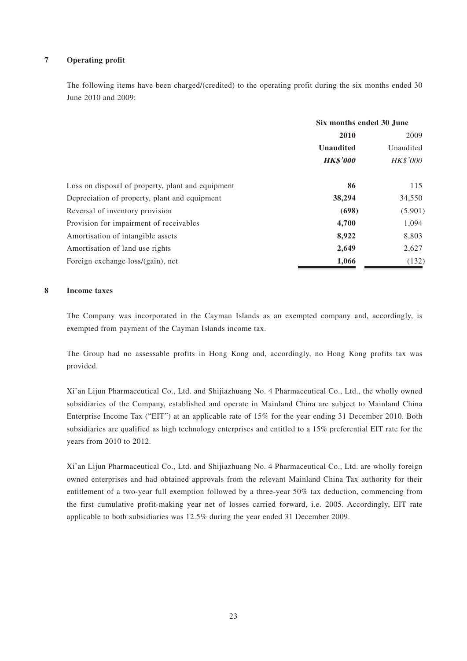#### **7 Operating profit**

The following items have been charged/(credited) to the operating profit during the six months ended 30 June 2010 and 2009:

|                                                   | Six months ended 30 June |                 |  |
|---------------------------------------------------|--------------------------|-----------------|--|
|                                                   | 2010                     | 2009            |  |
|                                                   | <b>Unaudited</b>         | Unaudited       |  |
|                                                   | <b>HK\$'000</b>          | <b>HK\$'000</b> |  |
| Loss on disposal of property, plant and equipment | 86                       | 115             |  |
| Depreciation of property, plant and equipment     | 38,294                   | 34,550          |  |
| Reversal of inventory provision                   | (698)                    | (5,901)         |  |
| Provision for impairment of receivables           | 4,700                    | 1,094           |  |
| Amortisation of intangible assets                 | 8,922                    | 8,803           |  |
| Amortisation of land use rights                   | 2,649                    | 2,627           |  |
| Foreign exchange loss/(gain), net                 | 1,066                    | (132)           |  |

#### **8 Income taxes**

The Company was incorporated in the Cayman Islands as an exempted company and, accordingly, is exempted from payment of the Cayman Islands income tax.

The Group had no assessable profits in Hong Kong and, accordingly, no Hong Kong profits tax was provided.

Xi'an Lijun Pharmaceutical Co., Ltd. and Shijiazhuang No. 4 Pharmaceutical Co., Ltd., the wholly owned subsidiaries of the Company, established and operate in Mainland China are subject to Mainland China Enterprise Income Tax ("EIT") at an applicable rate of 15% for the year ending 31 December 2010. Both subsidiaries are qualified as high technology enterprises and entitled to a 15% preferential EIT rate for the years from 2010 to 2012.

Xi'an Lijun Pharmaceutical Co., Ltd. and Shijiazhuang No. 4 Pharmaceutical Co., Ltd. are wholly foreign owned enterprises and had obtained approvals from the relevant Mainland China Tax authority for their entitlement of a two-year full exemption followed by a three-year 50% tax deduction, commencing from the first cumulative profit-making year net of losses carried forward, i.e. 2005. Accordingly, EIT rate applicable to both subsidiaries was 12.5% during the year ended 31 December 2009.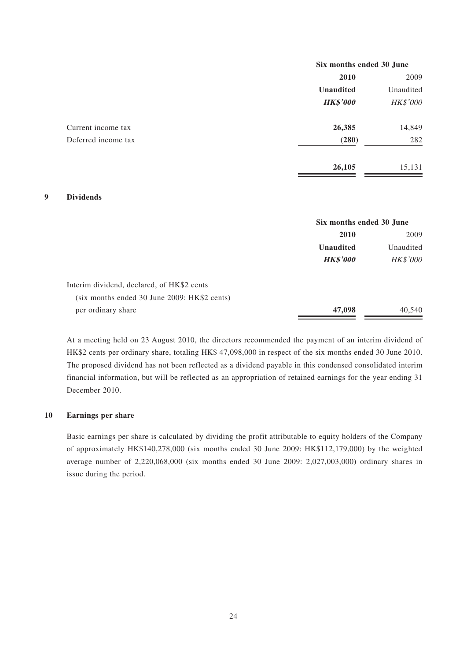|                     | Six months ended 30 June |                 |
|---------------------|--------------------------|-----------------|
|                     | 2010                     | 2009            |
|                     | <b>Unaudited</b>         | Unaudited       |
|                     | <b>HK\$'000</b>          | <b>HK\$'000</b> |
| Current income tax  | 26,385                   | 14,849          |
| Deferred income tax | (280)                    | 282             |
|                     | 26,105                   | 15,131          |

#### **9 Dividends**

|                                                | Six months ended 30 June |                 |
|------------------------------------------------|--------------------------|-----------------|
|                                                | <b>2010</b>              | 2009            |
|                                                | <b>Unaudited</b>         | Unaudited       |
|                                                | <b>HK\$'000</b>          | <b>HK\$'000</b> |
| Interim dividend, declared, of HK\$2 cents     |                          |                 |
| $(six$ months ended 30 June 2009: HK\$2 cents) |                          |                 |
| per ordinary share                             | 47,098                   | 40,540          |

At a meeting held on 23 August 2010, the directors recommended the payment of an interim dividend of HK\$2 cents per ordinary share, totaling HK\$ 47,098,000 in respect of the six months ended 30 June 2010. The proposed dividend has not been reflected as a dividend payable in this condensed consolidated interim financial information, but will be reflected as an appropriation of retained earnings for the year ending 31 December 2010.

#### **10 Earnings per share**

Basic earnings per share is calculated by dividing the profit attributable to equity holders of the Company of approximately HK\$140,278,000 (six months ended 30 June 2009: HK\$112,179,000) by the weighted average number of 2,220,068,000 (six months ended 30 June 2009: 2,027,003,000) ordinary shares in issue during the period.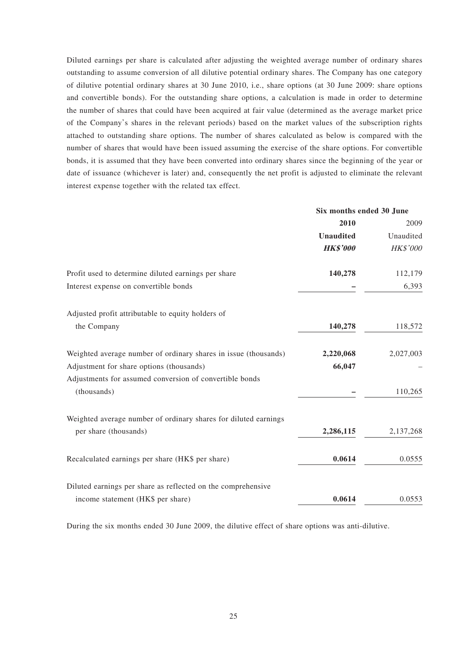Diluted earnings per share is calculated after adjusting the weighted average number of ordinary shares outstanding to assume conversion of all dilutive potential ordinary shares. The Company has one category of dilutive potential ordinary shares at 30 June 2010, i.e., share options (at 30 June 2009: share options and convertible bonds). For the outstanding share options, a calculation is made in order to determine the number of shares that could have been acquired at fair value (determined as the average market price of the Company's shares in the relevant periods) based on the market values of the subscription rights attached to outstanding share options. The number of shares calculated as below is compared with the number of shares that would have been issued assuming the exercise of the share options. For convertible bonds, it is assumed that they have been converted into ordinary shares since the beginning of the year or date of issuance (whichever is later) and, consequently the net profit is adjusted to eliminate the relevant interest expense together with the related tax effect.

|                                                                 | Six months ended 30 June |                 |
|-----------------------------------------------------------------|--------------------------|-----------------|
|                                                                 | 2010                     | 2009            |
|                                                                 | <b>Unaudited</b>         | Unaudited       |
|                                                                 | <b>HK\$'000</b>          | <b>HK\$'000</b> |
| Profit used to determine diluted earnings per share             | 140,278                  | 112,179         |
| Interest expense on convertible bonds                           |                          | 6,393           |
| Adjusted profit attributable to equity holders of               |                          |                 |
| the Company                                                     | 140,278                  | 118,572         |
| Weighted average number of ordinary shares in issue (thousands) | 2,220,068                | 2,027,003       |
| Adjustment for share options (thousands)                        | 66,047                   |                 |
| Adjustments for assumed conversion of convertible bonds         |                          |                 |
| (thousands)                                                     |                          | 110,265         |
| Weighted average number of ordinary shares for diluted earnings |                          |                 |
| per share (thousands)                                           | 2,286,115                | 2,137,268       |
| Recalculated earnings per share (HK\$ per share)                | 0.0614                   | 0.0555          |
| Diluted earnings per share as reflected on the comprehensive    |                          |                 |
| income statement (HK\$ per share)                               | 0.0614                   | 0.0553          |

During the six months ended 30 June 2009, the dilutive effect of share options was anti-dilutive.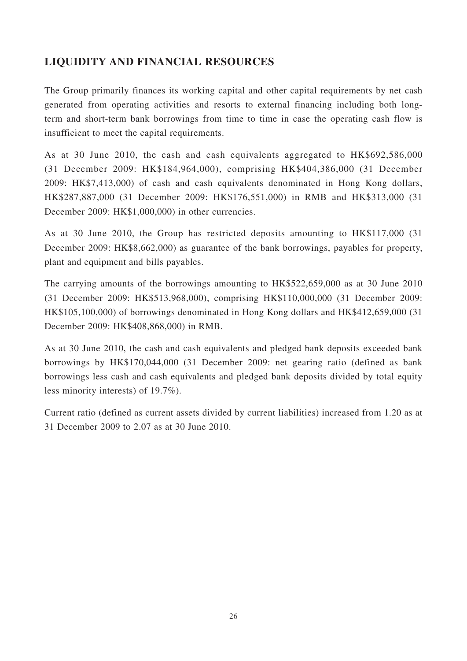# **LIQUIDITY AND FINANCIAL RESOURCES**

The Group primarily finances its working capital and other capital requirements by net cash generated from operating activities and resorts to external financing including both longterm and short-term bank borrowings from time to time in case the operating cash flow is insufficient to meet the capital requirements.

As at 30 June 2010, the cash and cash equivalents aggregated to HK\$692,586,000 (31 December 2009: HK\$184,964,000), comprising HK\$404,386,000 (31 December 2009: HK\$7,413,000) of cash and cash equivalents denominated in Hong Kong dollars, HK\$287,887,000 (31 December 2009: HK\$176,551,000) in RMB and HK\$313,000 (31 December 2009: HK\$1,000,000) in other currencies.

As at 30 June 2010, the Group has restricted deposits amounting to HK\$117,000 (31 December 2009: HK\$8,662,000) as guarantee of the bank borrowings, payables for property, plant and equipment and bills payables.

The carrying amounts of the borrowings amounting to HK\$522,659,000 as at 30 June 2010 (31 December 2009: HK\$513,968,000), comprising HK\$110,000,000 (31 December 2009: HK\$105,100,000) of borrowings denominated in Hong Kong dollars and HK\$412,659,000 (31 December 2009: HK\$408,868,000) in RMB.

As at 30 June 2010, the cash and cash equivalents and pledged bank deposits exceeded bank borrowings by HK\$170,044,000 (31 December 2009: net gearing ratio (defined as bank borrowings less cash and cash equivalents and pledged bank deposits divided by total equity less minority interests) of 19.7%).

Current ratio (defined as current assets divided by current liabilities) increased from 1.20 as at 31 December 2009 to 2.07 as at 30 June 2010.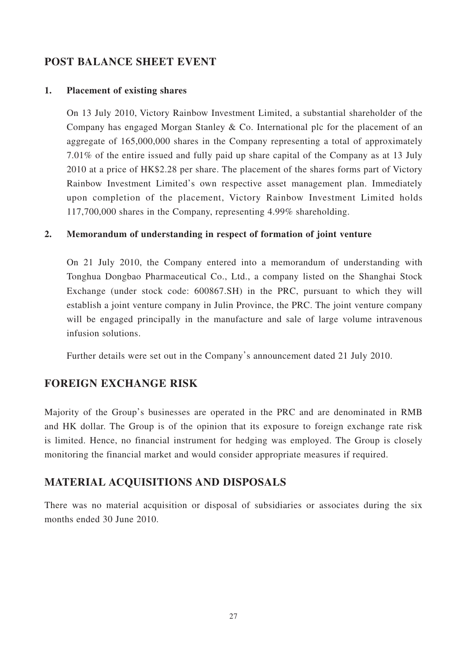### **POST BALANCE SHEET EVENT**

### **1. Placement of existing shares**

On 13 July 2010, Victory Rainbow Investment Limited, a substantial shareholder of the Company has engaged Morgan Stanley & Co. International plc for the placement of an aggregate of 165,000,000 shares in the Company representing a total of approximately 7.01% of the entire issued and fully paid up share capital of the Company as at 13 July 2010 at a price of HK\$2.28 per share. The placement of the shares forms part of Victory Rainbow Investment Limited's own respective asset management plan. Immediately upon completion of the placement, Victory Rainbow Investment Limited holds 117,700,000 shares in the Company, representing 4.99% shareholding.

### **2. Memorandum of understanding in respect of formation of joint venture**

On 21 July 2010, the Company entered into a memorandum of understanding with Tonghua Dongbao Pharmaceutical Co., Ltd., a company listed on the Shanghai Stock Exchange (under stock code: 600867.SH) in the PRC, pursuant to which they will establish a joint venture company in Julin Province, the PRC. The joint venture company will be engaged principally in the manufacture and sale of large volume intravenous infusion solutions.

Further details were set out in the Company's announcement dated 21 July 2010.

### **FOREIGN EXCHANGE RISK**

Majority of the Group's businesses are operated in the PRC and are denominated in RMB and HK dollar. The Group is of the opinion that its exposure to foreign exchange rate risk is limited. Hence, no financial instrument for hedging was employed. The Group is closely monitoring the financial market and would consider appropriate measures if required.

## **MATERIAL ACQUISITIONS AND DISPOSALS**

There was no material acquisition or disposal of subsidiaries or associates during the six months ended 30 June 2010.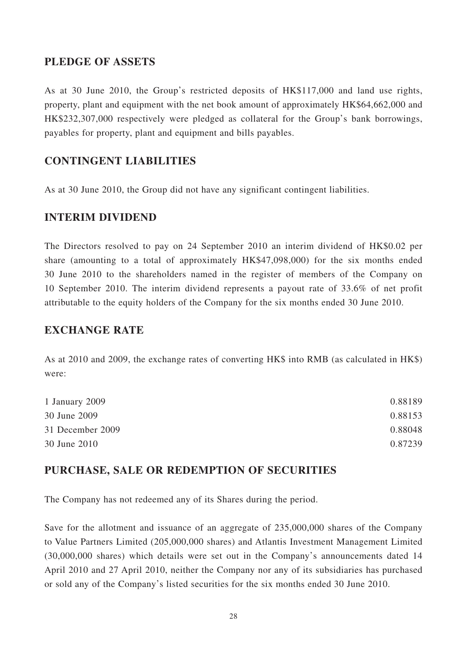### **PLEDGE OF ASSETS**

As at 30 June 2010, the Group's restricted deposits of HK\$117,000 and land use rights, property, plant and equipment with the net book amount of approximately HK\$64,662,000 and HK\$232,307,000 respectively were pledged as collateral for the Group's bank borrowings, payables for property, plant and equipment and bills payables.

### **CONTINGENT LIABILITIES**

As at 30 June 2010, the Group did not have any significant contingent liabilities.

### **INTERIM DIVIDEND**

The Directors resolved to pay on 24 September 2010 an interim dividend of HK\$0.02 per share (amounting to a total of approximately HK\$47,098,000) for the six months ended 30 June 2010 to the shareholders named in the register of members of the Company on 10 September 2010. The interim dividend represents a payout rate of 33.6% of net profit attributable to the equity holders of the Company for the six months ended 30 June 2010.

### **EXCHANGE RATE**

As at 2010 and 2009, the exchange rates of converting HK\$ into RMB (as calculated in HK\$) were:

| 1 January 2009   | 0.88189 |
|------------------|---------|
| 30 June 2009     | 0.88153 |
| 31 December 2009 | 0.88048 |
| 30 June 2010     | 0.87239 |

### **PURCHASE, SALE OR REDEMPTION OF SECURITIES**

The Company has not redeemed any of its Shares during the period.

Save for the allotment and issuance of an aggregate of 235,000,000 shares of the Company to Value Partners Limited (205,000,000 shares) and Atlantis Investment Management Limited (30,000,000 shares) which details were set out in the Company's announcements dated 14 April 2010 and 27 April 2010, neither the Company nor any of its subsidiaries has purchased or sold any of the Company's listed securities for the six months ended 30 June 2010.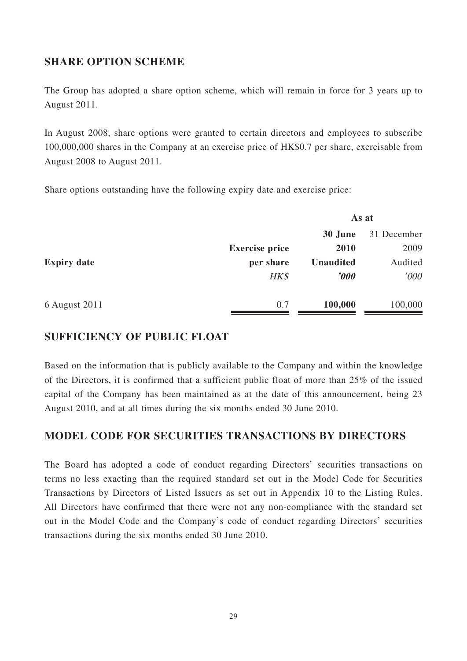# **SHARE OPTION SCHEME**

The Group has adopted a share option scheme, which will remain in force for 3 years up to August 2011.

In August 2008, share options were granted to certain directors and employees to subscribe 100,000,000 shares in the Company at an exercise price of HK\$0.7 per share, exercisable from August 2008 to August 2011.

Share options outstanding have the following expiry date and exercise price:

|                    |                       | As at            |             |
|--------------------|-----------------------|------------------|-------------|
|                    |                       | 30 June          | 31 December |
|                    | <b>Exercise price</b> | 2010             | 2009        |
| <b>Expiry date</b> | per share             | <b>Unaudited</b> | Audited     |
|                    | HK\$                  | $\bm{v}$         | '000        |
| 6 August 2011      | 0.7                   | 100,000          | 100,000     |

## **SUFFICIENCY OF PUBLIC FLOAT**

Based on the information that is publicly available to the Company and within the knowledge of the Directors, it is confirmed that a sufficient public float of more than 25% of the issued capital of the Company has been maintained as at the date of this announcement, being 23 August 2010, and at all times during the six months ended 30 June 2010.

## **MODEL CODE FOR SECURITIES TRANSACTIONS BY DIRECTORS**

The Board has adopted a code of conduct regarding Directors' securities transactions on terms no less exacting than the required standard set out in the Model Code for Securities Transactions by Directors of Listed Issuers as set out in Appendix 10 to the Listing Rules. All Directors have confirmed that there were not any non-compliance with the standard set out in the Model Code and the Company's code of conduct regarding Directors' securities transactions during the six months ended 30 June 2010.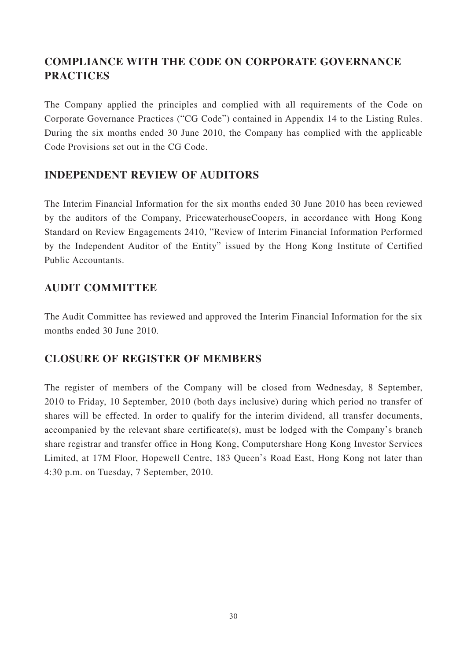# **COMPLIANCE WITH THE CODE ON CORPORATE GOVERNANCE PRACTICES**

The Company applied the principles and complied with all requirements of the Code on Corporate Governance Practices ("CG Code") contained in Appendix 14 to the Listing Rules. During the six months ended 30 June 2010, the Company has complied with the applicable Code Provisions set out in the CG Code.

# **INDEPENDENT REVIEW OF AUDITORS**

The Interim Financial Information for the six months ended 30 June 2010 has been reviewed by the auditors of the Company, PricewaterhouseCoopers, in accordance with Hong Kong Standard on Review Engagements 2410, "Review of Interim Financial Information Performed by the Independent Auditor of the Entity" issued by the Hong Kong Institute of Certified Public Accountants.

# **AUDIT COMMITTEE**

The Audit Committee has reviewed and approved the Interim Financial Information for the six months ended 30 June 2010.

## **CLOSURE OF REGISTER OF MEMBERS**

The register of members of the Company will be closed from Wednesday, 8 September, 2010 to Friday, 10 September, 2010 (both days inclusive) during which period no transfer of shares will be effected. In order to qualify for the interim dividend, all transfer documents, accompanied by the relevant share certificate(s), must be lodged with the Company's branch share registrar and transfer office in Hong Kong, Computershare Hong Kong Investor Services Limited, at 17M Floor, Hopewell Centre, 183 Queen's Road East, Hong Kong not later than 4:30 p.m. on Tuesday, 7 September, 2010.